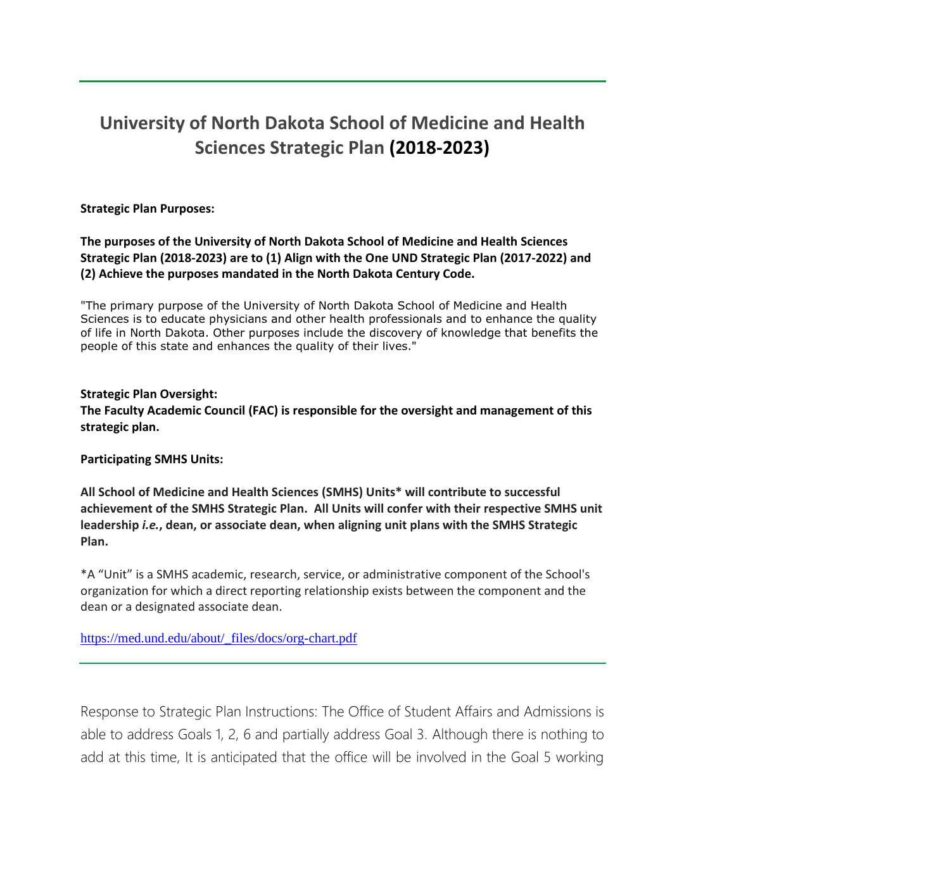# **University of North Dakota School of Medicine and Health Sciences Strategic Plan (2018-2023)**

**Strategic Plan Purposes:**

**The purposes of the University of North Dakota School of Medicine and Health Sciences Strategic Plan (2018-2023) are to (1) Align with the One UND Strategic Plan (2017-2022) and (2) Achieve the purposes mandated in the North Dakota Century Code.**

"The primary purpose of the University of North Dakota School of Medicine and Health Sciences is to educate physicians and other health professionals and to enhance the quality of life in North Dakota. Other purposes include the discovery of knowledge that benefits the people of this state and enhances the quality of their lives."

## **Strategic Plan Oversight:**

**The Faculty Academic Council (FAC) is responsible for the oversight and management of this strategic plan.**

**Participating SMHS Units:**

**All School of Medicine and Health Sciences (SMHS) Units\* will contribute to successful achievement of the SMHS Strategic Plan. All Units will confer with their respective SMHS unit leadership** *i.e.***, dean, or associate dean, when aligning unit plans with the SMHS Strategic Plan.**

\*A "Unit" is a SMHS academic, research, service, or administrative component of the School's organization for which a direct reporting relationship exists between the component and the dean or a designated associate dean.

[https://med.und.edu/about/\\_files/docs/org-chart.pdf](https://med.und.edu/about/_files/docs/org-chart.pdf)

Response to Strategic Plan Instructions: The Office of Student Affairs and Admissions is able to address Goals 1, 2, 6 and partially address Goal 3. Although there is nothing to add at this time, It is anticipated that the office will be involved in the Goal 5 working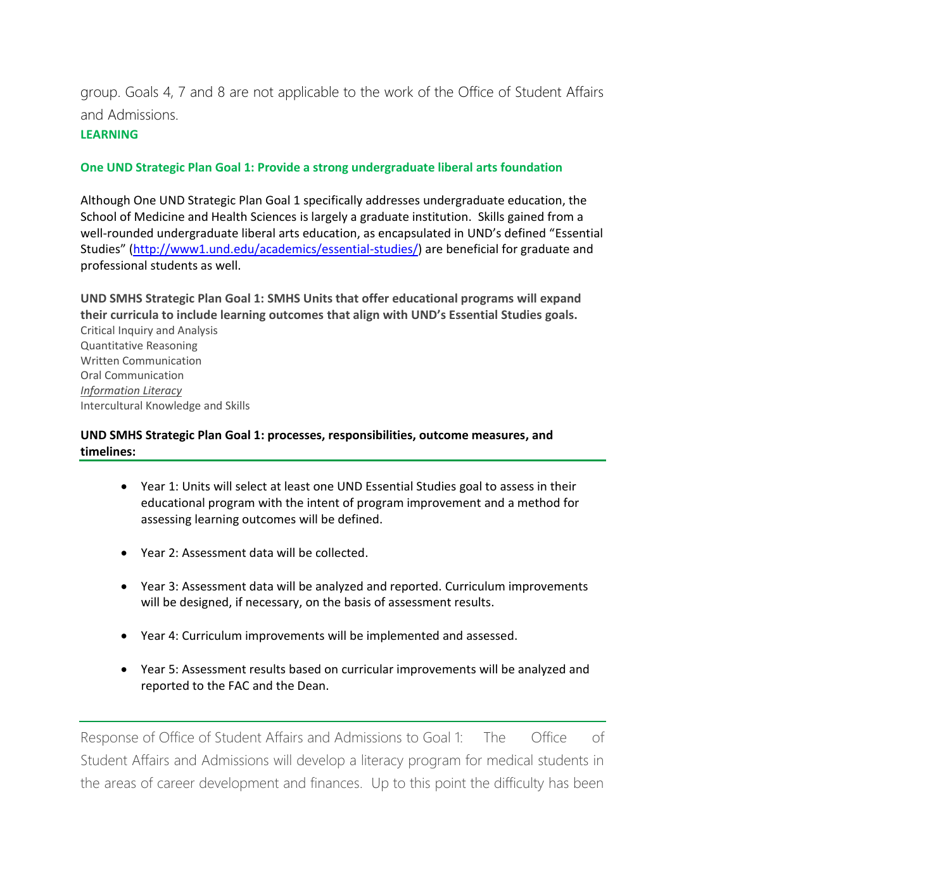group. Goals 4, 7 and 8 are not applicable to the work of the Office of Student Affairs and Admissions.

## **LEARNING**

## **One UND Strategic Plan Goal 1: Provide a strong undergraduate liberal arts foundation**

Although One UND Strategic Plan Goal 1 specifically addresses undergraduate education, the School of Medicine and Health Sciences is largely a graduate institution. Skills gained from a well-rounded undergraduate liberal arts education, as encapsulated in UND's defined "Essential Studies" ([http://www1.und.edu/academics/essential-studies/\)](http://www1.und.edu/academics/essential-studies/) are beneficial for graduate and professional students as well.

**UND SMHS Strategic Plan Goal 1: SMHS Units that offer educational programs will expand their curricula to include learning outcomes that align with UND's Essential Studies goals.** Critical Inquiry and Analysis Quantitative Reasoning Written Communication Oral Communication *Information Literacy* Intercultural Knowledge and Skills

**UND SMHS Strategic Plan Goal 1: processes, responsibilities, outcome measures, and timelines:**

- Year 1: Units will select at least one UND Essential Studies goal to assess in their educational program with the intent of program improvement and a method for assessing learning outcomes will be defined.
- Year 2: Assessment data will be collected.
- Year 3: Assessment data will be analyzed and reported. Curriculum improvements will be designed, if necessary, on the basis of assessment results.
- Year 4: Curriculum improvements will be implemented and assessed.
- Year 5: Assessment results based on curricular improvements will be analyzed and reported to the FAC and the Dean.

Response of Office of Student Affairs and Admissions to Goal 1: The Office of Student Affairs and Admissions will develop a literacy program for medical students in the areas of career development and finances. Up to this point the difficulty has been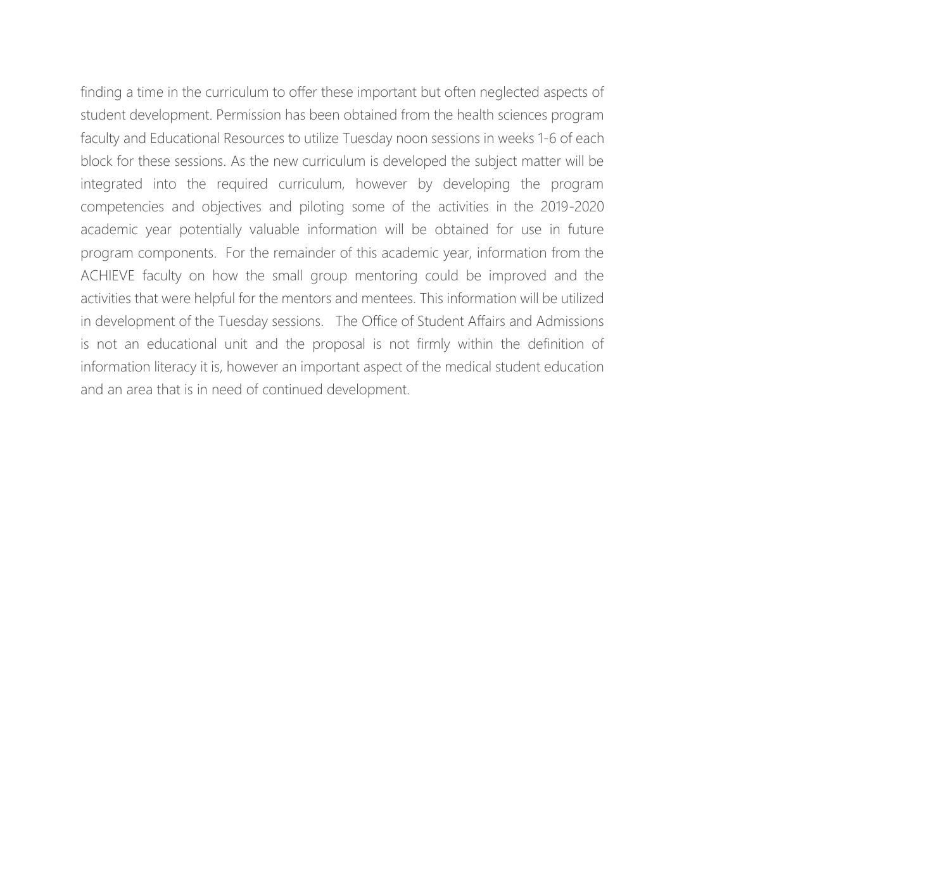finding a time in the curriculum to offer these important but often neglected aspects of student development. Permission has been obtained from the health sciences program faculty and Educational Resources to utilize Tuesday noon sessions in weeks 1-6 of each block for these sessions. As the new curriculum is developed the subject matter will be integrated into the required curriculum, however by developing the program competencies and objectives and piloting some of the activities in the 2019-2020 academic year potentially valuable information will be obtained for use in future program components. For the remainder of this academic year, information from the ACHIEVE faculty on how the small group mentoring could be improved and the activities that were helpful for the mentors and mentees. This information will be utilized in development of the Tuesday sessions. The Office of Student Affairs and Admissions is not an educational unit and the proposal is not firmly within the definition of information literacy it is, however an important aspect of the medical student education and an area that is in need of continued development.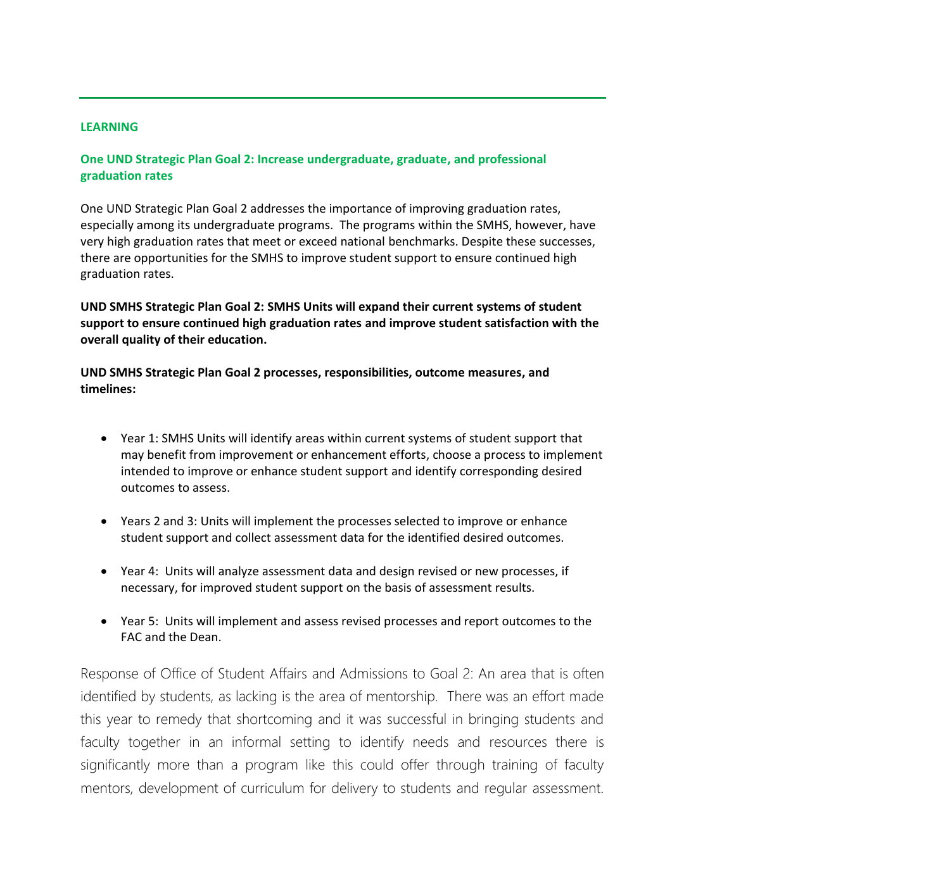### **LEARNING**

**One UND Strategic Plan Goal 2: Increase undergraduate, graduate, and professional graduation rates**

One UND Strategic Plan Goal 2 addresses the importance of improving graduation rates, especially among its undergraduate programs. The programs within the SMHS, however, have very high graduation rates that meet or exceed national benchmarks. Despite these successes, there are opportunities for the SMHS to improve student support to ensure continued high graduation rates.

**UND SMHS Strategic Plan Goal 2: SMHS Units will expand their current systems of student support to ensure continued high graduation rates and improve student satisfaction with the overall quality of their education.**

**UND SMHS Strategic Plan Goal 2 processes, responsibilities, outcome measures, and timelines:**

- Year 1: SMHS Units will identify areas within current systems of student support that may benefit from improvement or enhancement efforts, choose a process to implement intended to improve or enhance student support and identify corresponding desired outcomes to assess.
- Years 2 and 3: Units will implement the processes selected to improve or enhance student support and collect assessment data for the identified desired outcomes.
- Year 4: Units will analyze assessment data and design revised or new processes, if necessary, for improved student support on the basis of assessment results.
- Year 5: Units will implement and assess revised processes and report outcomes to the FAC and the Dean.

Response of Office of Student Affairs and Admissions to Goal 2: An area that is often identified by students, as lacking is the area of mentorship. There was an effort made this year to remedy that shortcoming and it was successful in bringing students and faculty together in an informal setting to identify needs and resources there is significantly more than a program like this could offer through training of faculty mentors, development of curriculum for delivery to students and regular assessment.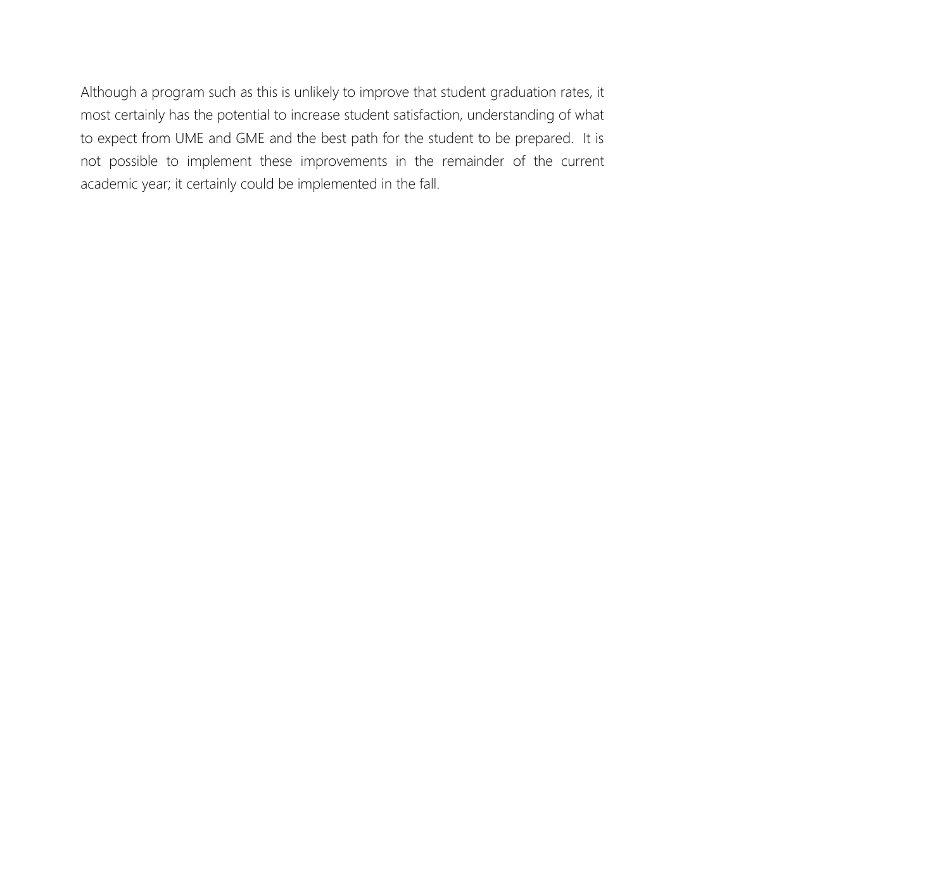Although a program such as this is unlikely to improve that student graduation rates, it most certainly has the potential to increase student satisfaction, understanding of what to expect from UME and GME and the best path for the student to be prepared. It is not possible to implement these improvements in the remainder of the current academic year; it certainly could be implemented in the fall.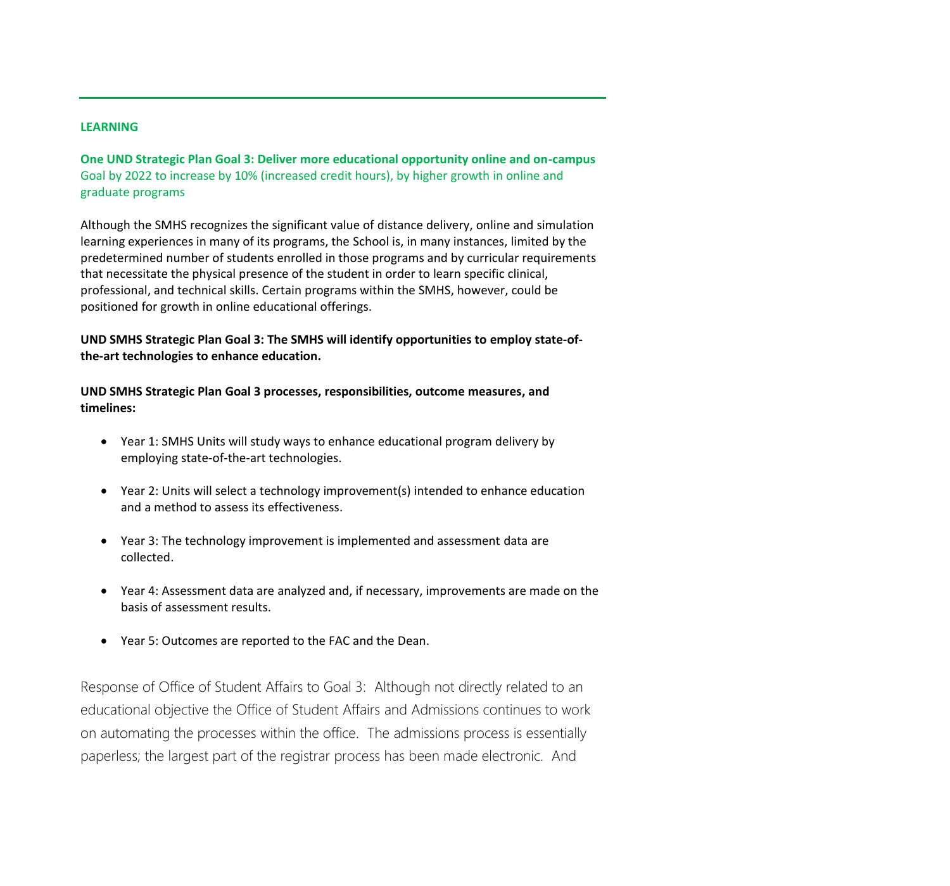### **LEARNING**

**One UND Strategic Plan Goal 3: Deliver more educational opportunity online and on-campus** Goal by 2022 to increase by 10% (increased credit hours), by higher growth in online and graduate programs

Although the SMHS recognizes the significant value of distance delivery, online and simulation learning experiences in many of its programs, the School is, in many instances, limited by the predetermined number of students enrolled in those programs and by curricular requirements that necessitate the physical presence of the student in order to learn specific clinical, professional, and technical skills. Certain programs within the SMHS, however, could be positioned for growth in online educational offerings.

**UND SMHS Strategic Plan Goal 3: The SMHS will identify opportunities to employ state-ofthe-art technologies to enhance education.**

**UND SMHS Strategic Plan Goal 3 processes, responsibilities, outcome measures, and timelines:**

- Year 1: SMHS Units will study ways to enhance educational program delivery by employing state-of-the-art technologies.
- Year 2: Units will select a technology improvement(s) intended to enhance education and a method to assess its effectiveness.
- Year 3: The technology improvement is implemented and assessment data are collected.
- Year 4: Assessment data are analyzed and, if necessary, improvements are made on the basis of assessment results.
- Year 5: Outcomes are reported to the FAC and the Dean.

Response of Office of Student Affairs to Goal 3: Although not directly related to an educational objective the Office of Student Affairs and Admissions continues to work on automating the processes within the office. The admissions process is essentially paperless; the largest part of the registrar process has been made electronic. And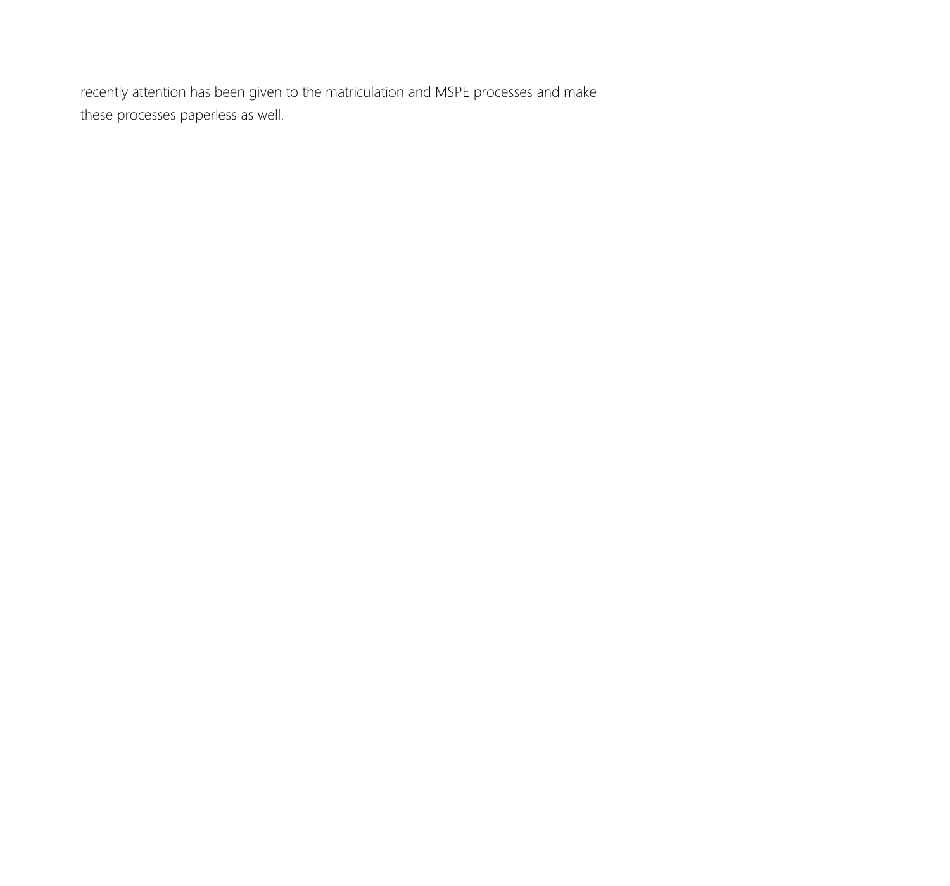recently attention has been given to the matriculation and MSPE processes and make these processes paperless as well.